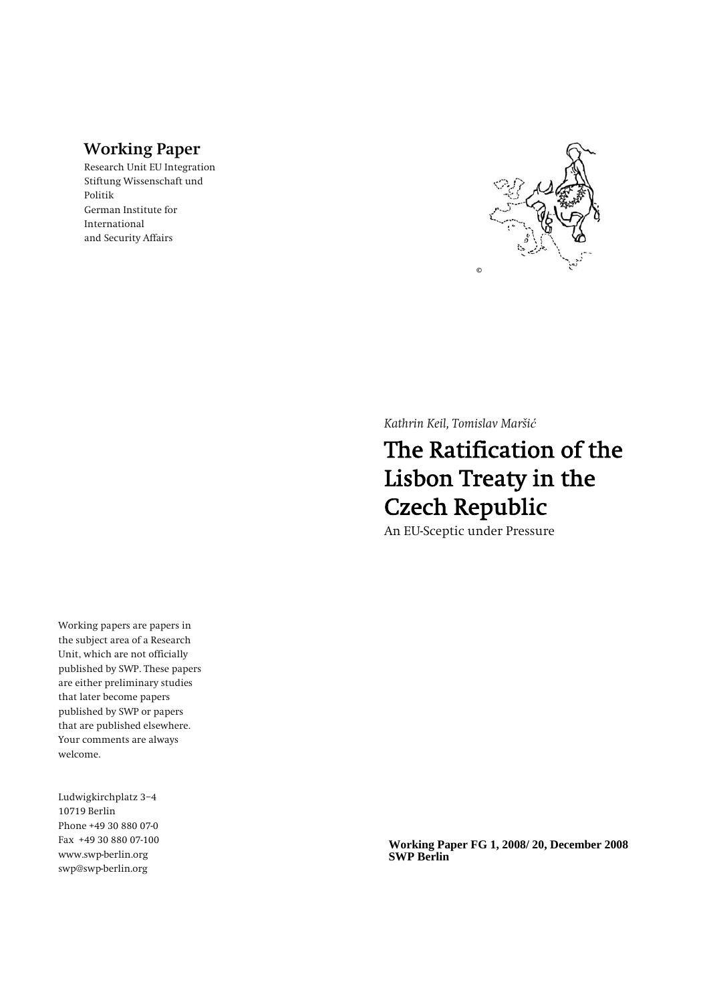### **Working Paper**

Research Unit EU Integration Stiftung Wissenschaft und Politik German Institute for International and Security Affairs



*Kathrin Keil, Tomislav Maršić*

# The Ratification of the Lisbon Treaty in the Czech Republic

An EU-Sceptic under Pressure

Working papers are papers in the subject area of a Research Unit, which are not officially published by SWP. These papers are either preliminary studies that later become papers published by SWP or papers that are published elsewhere. Your comments are always welcome.

Ludwigkirchplatz 3−4 10719 Berlin Phone +49 30 880 07-0 Fax +49 30 880 07-100 www.swp-berlin.org swp@swp-berlin.org

**Working Paper FG 1, 2008/ 20, December 2008 SWP Berlin**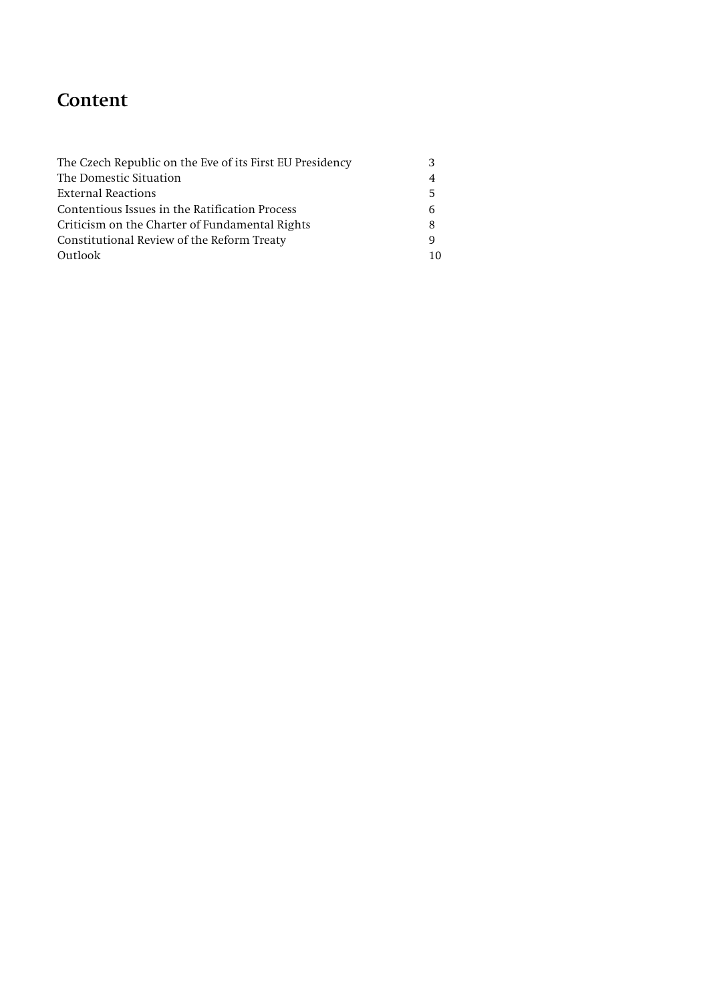## **Content**

| The Czech Republic on the Eve of its First EU Presidency | З  |
|----------------------------------------------------------|----|
| The Domestic Situation                                   | 4  |
| External Reactions                                       | 5  |
| Contentious Issues in the Ratification Process           | 6  |
| Criticism on the Charter of Fundamental Rights           | 8  |
| Constitutional Review of the Reform Treaty               | 9  |
| Outlook                                                  | 10 |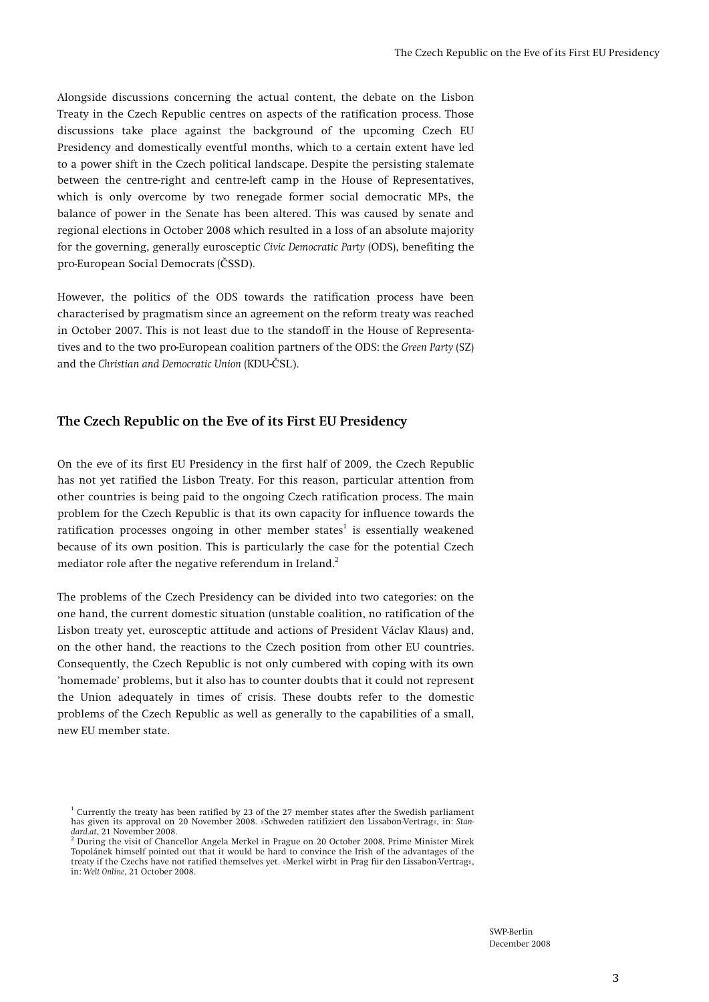Alongside discussions concerning the actual content, the debate on the Lisbon Treaty in the Czech Republic centres on aspects of the ratification process. Those discussions take place against the background of the upcoming Czech EU Presidency and domestically eventful months, which to a certain extent have led to a power shift in the Czech political landscape. Despite the persisting stalemate between the centre-right and centre-left camp in the House of Representatives, which is only overcome by two renegade former social democratic MPs, the balance of power in the Senate has been altered. This was caused by senate and regional elections in October 2008 which resulted in a loss of an absolute majority for the governing, generally eurosceptic *Civic Democratic Party* (ODS), benefiting the pro-European Social Democrats (ČSSD).

However, the politics of the ODS towards the ratification process have been characterised by pragmatism since an agreement on the reform treaty was reached in October 2007. This is not least due to the standoff in the House of Representatives and to the two pro-European coalition partners of the ODS: the *Green Party* (SZ) and the *Christian and Democratic Union* (KDU-ČSL).

#### **The Czech Republic on the Eve of its First EU Presidency**

On the eve of its first EU Presidency in the first half of 2009, the Czech Republic has not yet ratified the Lisbon Treaty. For this reason, particular attention from other countries is being paid to the ongoing Czech ratification process. The main problem for the Czech Republic is that its own capacity for influence towards the ratification processes ongoing in other member states $^1$  is essentially weakened because of its own position. This is particularly the case for the potential Czech mediator role after the negative referendum in Ireland.<sup>2</sup>

The problems of the Czech Presidency can be divided into two categories: on the one hand, the current domestic situation (unstable coalition, no ratification of the Lisbon treaty yet, eurosceptic attitude and actions of President Václav Klaus) and, on the other hand, the reactions to the Czech position from other EU countries. Consequently, the Czech Republic is not only cumbered with coping with its own 'homemade' problems, but it also has to counter doubts that it could not represent the Union adequately in times of crisis. These doubts refer to the domestic problems of the Czech Republic as well as generally to the capabilities of a small, new EU member state.

<sup>1</sup> Currently the treaty has been ratified by 23 of the 27 member states after the Swedish parliament has given its approval on 20 November 2008. »Schweden ratifiziert den Lissabon-Vertrag«, in: *Standard.at*, 21 November 2008. 2

During the visit of Chancellor Angela Merkel in Prague on 20 October 2008, Prime Minister Mirek Topolánek himself pointed out that it would be hard to convince the Irish of the advantages of the treaty if the Czechs have not ratified themselves yet. »Merkel wirbt in Prag für den Lissabon-Vertrag«, in: *Welt Online*, 21 October 2008.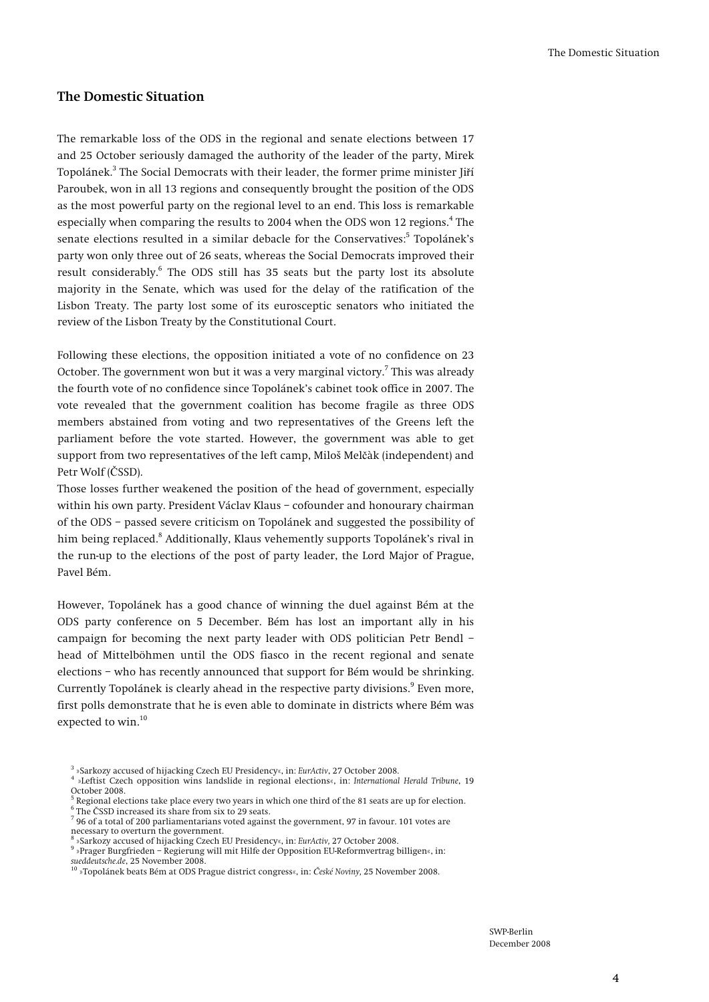#### **The Domestic Situation**

The remarkable loss of the ODS in the regional and senate elections between 17 and 25 October seriously damaged the authority of the leader of the party, Mirek Topolánek.<sup>3</sup> The Social Democrats with their leader, the former prime minister Jiří Paroubek, won in all 13 regions and consequently brought the position of the ODS as the most powerful party on the regional level to an end. This loss is remarkable especially when comparing the results to 2004 when the ODS won 12 regions.<sup>4</sup> The senate elections resulted in a similar debacle for the Conservatives:<sup>5</sup> Topolánek's party won only three out of 26 seats, whereas the Social Democrats improved their result considerably.<sup>6</sup> The ODS still has 35 seats but the party lost its absolute majority in the Senate, which was used for the delay of the ratification of the Lisbon Treaty. The party lost some of its eurosceptic senators who initiated the review of the Lisbon Treaty by the Constitutional Court.

Following these elections, the opposition initiated a vote of no confidence on 23 October. The government won but it was a very marginal victory. $^7$  This was already the fourth vote of no confidence since Topolánek's cabinet took office in 2007. The vote revealed that the government coalition has become fragile as three ODS members abstained from voting and two representatives of the Greens left the parliament before the vote started. However, the government was able to get support from two representatives of the left camp, Miloš Melčàk (independent) and Petr Wolf (ČSSD).

Those losses further weakened the position of the head of government, especially within his own party. President Václav Klaus – cofounder and honourary chairman of the ODS – passed severe criticism on Topolánek and suggested the possibility of him being replaced.<sup>8</sup> Additionally, Klaus vehemently supports Topolánek's rival in the run-up to the elections of the post of party leader, the Lord Major of Prague, Pavel Bém.

However, Topolánek has a good chance of winning the duel against Bém at the ODS party conference on 5 December. Bém has lost an important ally in his campaign for becoming the next party leader with ODS politician Petr Bendl – head of Mittelböhmen until the ODS fiasco in the recent regional and senate elections – who has recently announced that support for Bém would be shrinking. Currently Topolánek is clearly ahead in the respective party divisions.<sup>9</sup> Even more, first polls demonstrate that he is even able to dominate in districts where Bém was expected to win.<sup>10</sup>

- »Leftist Czech opposition wins landslide in regional elections«, in: *International Herald Tribune*, 19 October 2008.<br><sup>5</sup> Begional elec
- Regional elections take place every two years in which one third of the 81 seats are up for election. 6
- $6$  The ČSSD increased its share from six to 29 seats.
- 96 of a total of 200 parliamentarians voted against the government, 97 in favour. 101 votes are necessary to overturn the government. 8
- »Sarkozy accused of hijacking Czech EU Presidency«, in: *EurActiv,* 27 October 2008. 9
- »Prager Burgfrieden Regierung will mit Hilfe der Opposition EU-Reformvertrag billigen«, in: *sueddeutsche.de*, 25 November 2008. 10 »Topolánek beats Bém at ODS Prague district congress«, in: *České Noviny,* 25 November 2008.
- 

<sup>3</sup> »Sarkozy accused of hijacking Czech EU Presidency«, in: *EurActiv*, 27 October 2008. 4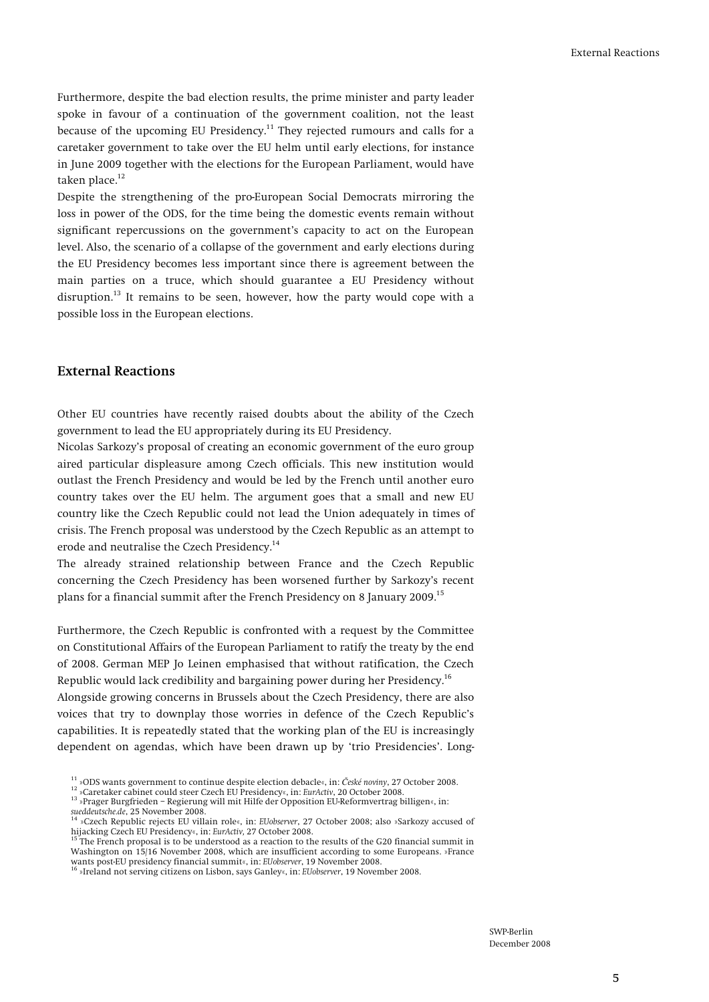Furthermore, despite the bad election results, the prime minister and party leader spoke in favour of a continuation of the government coalition, not the least because of the upcoming EU Presidency.<sup>11</sup> They rejected rumours and calls for a caretaker government to take over the EU helm until early elections, for instance in June 2009 together with the elections for the European Parliament, would have taken place. $12$ 

Despite the strengthening of the pro-European Social Democrats mirroring the loss in power of the ODS, for the time being the domestic events remain without significant repercussions on the government's capacity to act on the European level. Also, the scenario of a collapse of the government and early elections during the EU Presidency becomes less important since there is agreement between the main parties on a truce, which should guarantee a EU Presidency without disruption.<sup>13</sup> It remains to be seen, however, how the party would cope with a possible loss in the European elections.

#### **External Reactions**

Other EU countries have recently raised doubts about the ability of the Czech government to lead the EU appropriately during its EU Presidency.

Nicolas Sarkozy's proposal of creating an economic government of the euro group aired particular displeasure among Czech officials. This new institution would outlast the French Presidency and would be led by the French until another euro country takes over the EU helm. The argument goes that a small and new EU country like the Czech Republic could not lead the Union adequately in times of crisis. The French proposal was understood by the Czech Republic as an attempt to erode and neutralise the Czech Presidency.14

The already strained relationship between France and the Czech Republic concerning the Czech Presidency has been worsened further by Sarkozy's recent plans for a financial summit after the French Presidency on 8 January 2009.<sup>15</sup>

Furthermore, the Czech Republic is confronted with a request by the Committee on Constitutional Affairs of the European Parliament to ratify the treaty by the end of 2008. German MEP Jo Leinen emphasised that without ratification, the Czech Republic would lack credibility and bargaining power during her Presidency.16 Alongside growing concerns in Brussels about the Czech Presidency, there are also voices that try to downplay those worries in defence of the Czech Republic's capabilities. It is repeatedly stated that the working plan of the EU is increasingly dependent on agendas, which have been drawn up by 'trio Presidencies'. Long-

<sup>&</sup>lt;sup>11</sup> »ODS wants government to continue despite election debacle«, in: České noviny, 27 October 2008.<br><sup>12</sup> »Caretaker cabinet could steer Czech EU Presidency«, in: EurActiv, 20 October 2008.<br><sup>13</sup> »Prager Burgfrieden – Regi

<sup>&</sup>lt;sup>14</sup> »Czech Republic rejects EU villain role«, in: *EUobserver*, 27 October 2008; also »Sarkozy accused of hijacking Czech EU Presidency«, in: *EurActiv*, 27 October 2008.

<sup>.&</sup>lt;br>The French proposal is to be understood as a reaction to the results of the G20 financial summit in Washington on 15/16 November 2008, which are insufficient according to some Europeans. »France wants post-EU presidency financial summit«, in: *EUobserver*, 19 November 2008. 16 »Ireland not serving citizens on Lisbon, says Ganley«, in: *EUobserver*, 19 November 2008.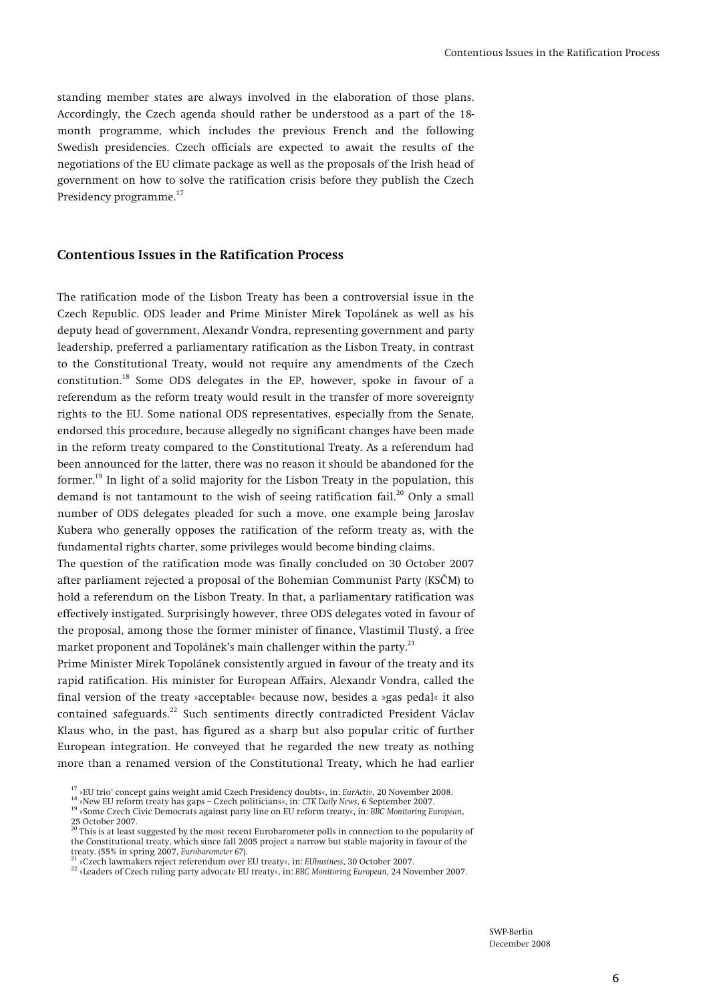standing member states are always involved in the elaboration of those plans. Accordingly, the Czech agenda should rather be understood as a part of the 18 month programme, which includes the previous French and the following Swedish presidencies. Czech officials are expected to await the results of the negotiations of the EU climate package as well as the proposals of the Irish head of government on how to solve the ratification crisis before they publish the Czech Presidency programme.17

#### **Contentious Issues in the Ratification Process**

The ratification mode of the Lisbon Treaty has been a controversial issue in the Czech Republic. ODS leader and Prime Minister Mirek Topolánek as well as his deputy head of government, Alexandr Vondra, representing government and party leadership, preferred a parliamentary ratification as the Lisbon Treaty, in contrast to the Constitutional Treaty, would not require any amendments of the Czech constitution.18 Some ODS delegates in the EP, however, spoke in favour of a referendum as the reform treaty would result in the transfer of more sovereignty rights to the EU. Some national ODS representatives, especially from the Senate, endorsed this procedure, because allegedly no significant changes have been made in the reform treaty compared to the Constitutional Treaty. As a referendum had been announced for the latter, there was no reason it should be abandoned for the former.<sup>19</sup> In light of a solid majority for the Lisbon Treaty in the population, this demand is not tantamount to the wish of seeing ratification fail.<sup>20</sup> Only a small number of ODS delegates pleaded for such a move, one example being Jaroslav Kubera who generally opposes the ratification of the reform treaty as, with the fundamental rights charter, some privileges would become binding claims.

The question of the ratification mode was finally concluded on 30 October 2007 after parliament rejected a proposal of the Bohemian Communist Party (KSČM) to hold a referendum on the Lisbon Treaty. In that, a parliamentary ratification was effectively instigated. Surprisingly however, three ODS delegates voted in favour of the proposal, among those the former minister of finance, Vlastimil Tlustý, a free market proponent and Topolánek's main challenger within the party.<sup>21</sup>

Prime Minister Mirek Topolánek consistently argued in favour of the treaty and its rapid ratification. His minister for European Affairs, Alexandr Vondra, called the final version of the treaty »acceptable« because now, besides a »gas pedal« it also contained safeguards.<sup>22</sup> Such sentiments directly contradicted President Václav Klaus who, in the past, has figured as a sharp but also popular critic of further European integration. He conveyed that he regarded the new treaty as nothing more than a renamed version of the Constitutional Treaty, which he had earlier

<sup>&</sup>lt;sup>17</sup> »EU trio' concept gains weight amid Czech Presidency doubts«, in: EurActiv, 20 November 2008.<br><sup>18</sup> »New EU reform treaty has gaps – Czech politicians«, in: CIK Daily News, 6 September 2007.<br><sup>19</sup> »Some Czech Civic Dem  $25$  October 2007.<br> $20$  This

<sup>20</sup> This is at least suggested by the most recent Eurobarometer polls in connection to the popularity of the Constitutional treaty, which since fall 2005 project a narrow but stable majority in favour of the treaty. (55% in spring 2007, Eurobarometer 67).

<sup>&</sup>lt;sup>21</sup> »Czech lawmakers reject referendum over EU treaty«, in: EUbusiness, 30 October 2007.<br><sup>22</sup> »Leaders of Czech ruling party advocate EU treaty«, in: BBC Monitoring European, 24 November 2007.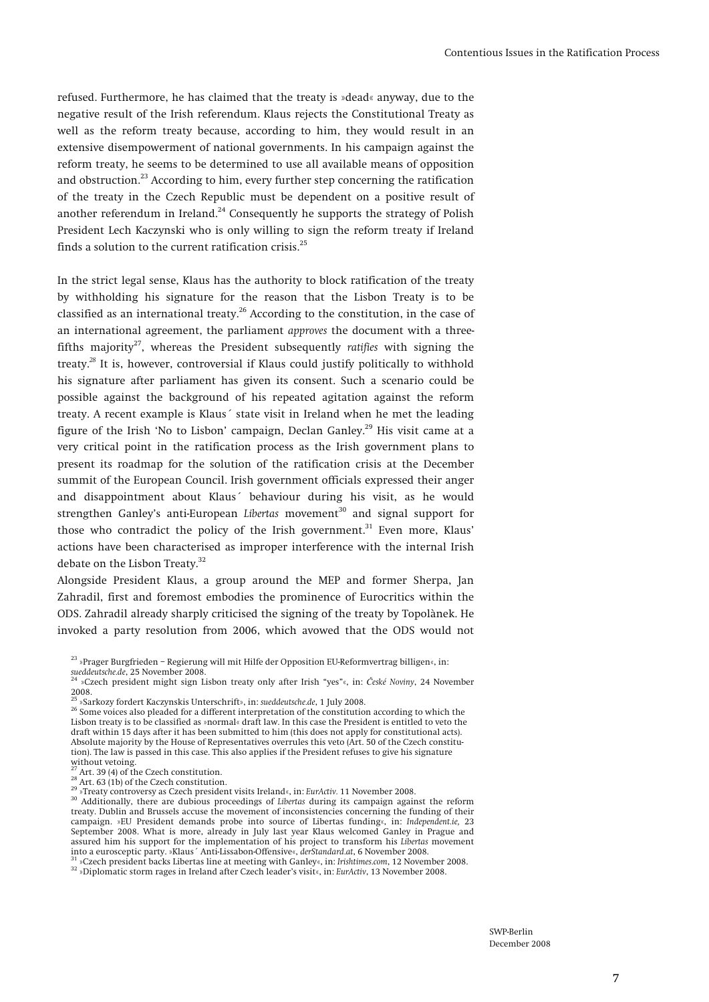refused. Furthermore, he has claimed that the treaty is »dead« anyway, due to the negative result of the Irish referendum. Klaus rejects the Constitutional Treaty as well as the reform treaty because, according to him, they would result in an extensive disempowerment of national governments. In his campaign against the reform treaty, he seems to be determined to use all available means of opposition and obstruction.<sup>23</sup> According to him, every further step concerning the ratification of the treaty in the Czech Republic must be dependent on a positive result of another referendum in Ireland.<sup>24</sup> Consequently he supports the strategy of Polish President Lech Kaczynski who is only willing to sign the reform treaty if Ireland finds a solution to the current ratification crisis. $^{25}$ 

In the strict legal sense, Klaus has the authority to block ratification of the treaty by withholding his signature for the reason that the Lisbon Treaty is to be classified as an international treaty.<sup>26</sup> According to the constitution, in the case of an international agreement, the parliament *approves* the document with a threefifths majority27, whereas the President subsequently *ratifies* with signing the treaty.*<sup>28</sup>* It is, however, controversial if Klaus could justify politically to withhold his signature after parliament has given its consent. Such a scenario could be possible against the background of his repeated agitation against the reform treaty. A recent example is Klaus´ state visit in Ireland when he met the leading figure of the Irish 'No to Lisbon' campaign, Declan Ganley.29 His visit came at a very critical point in the ratification process as the Irish government plans to present its roadmap for the solution of the ratification crisis at the December summit of the European Council. Irish government officials expressed their anger and disappointment about Klaus´ behaviour during his visit, as he would strengthen Ganley's anti-European *Libertas* movement<sup>30</sup> and signal support for those who contradict the policy of the Irish government. $31$  Even more, Klaus' actions have been characterised as improper interference with the internal Irish debate on the Lisbon Treaty.<sup>32</sup>

Alongside President Klaus, a group around the MEP and former Sherpa, Jan Zahradil, first and foremost embodies the prominence of Eurocritics within the ODS. Zahradil already sharply criticised the signing of the treaty by Topolànek. He invoked a party resolution from 2006, which avowed that the ODS would not

<sup>31</sup> »Czech president backs Libertas line at meeting with Ganley«, in: Irishtimes.com, 12 November 2008.<br><sup>32</sup> »Diplomatic storm rages in Ireland after Czech leader's visit«, in: EurActiv, 13 November 2008.

 $^{23}$ »Prager Burgfrieden – Regierung will mit Hilfe der Opposition EU-Reformvertrag billigen«, in: sueddeutsche.de, 25 November 2008.

*sueddeutsche.de*, 25 November 2008. 24 »Czech president might sign Lisbon treaty only after Irish "yes"«, in: *<sup>Č</sup>eské Noviny*, 24 November 2008.<br><sup>25</sup> »Sarkozy fordert Kaczynskis Unterschrift», in: *sueddeutsche.de.* 1 July 2008.

<sup>&</sup>lt;sup>26</sup> Some voices also pleaded for a different interpretation of the constitution according to which the Lisbon treaty is to be classified as »normal« draft law. In this case the President is entitled to veto the draft within 15 days after it has been submitted to him (this does not apply for constitutional acts). Absolute majority by the House of Representatives overrules this veto (Art. 50 of the Czech constitution). The law is passed in this case. This also applies if the President refuses to give his signature without vetoing.

<sup>&</sup>lt;sup>27</sup> Art. 39 (4) of the Czech constitution.<br><sup>28</sup> Art. 39 (4) of the Czech constitution.<br><sup>29</sup> »Treaty controversy as Czech president visits Ireland«, in: *EurActiv*. 11 November 2008.<br><sup>29</sup> »Treaty controversy as Czech presi treaty. Dublin and Brussels accuse the movement of inconsistencies concerning the funding of their campaign. »EU President demands probe into source of Libertas funding«, in: *Independent.ie,* 23 September 2008. What is more, already in July last year Klaus welcomed Ganley in Prague and assured him his support for the implementation of his project to transform his *Libertas* movement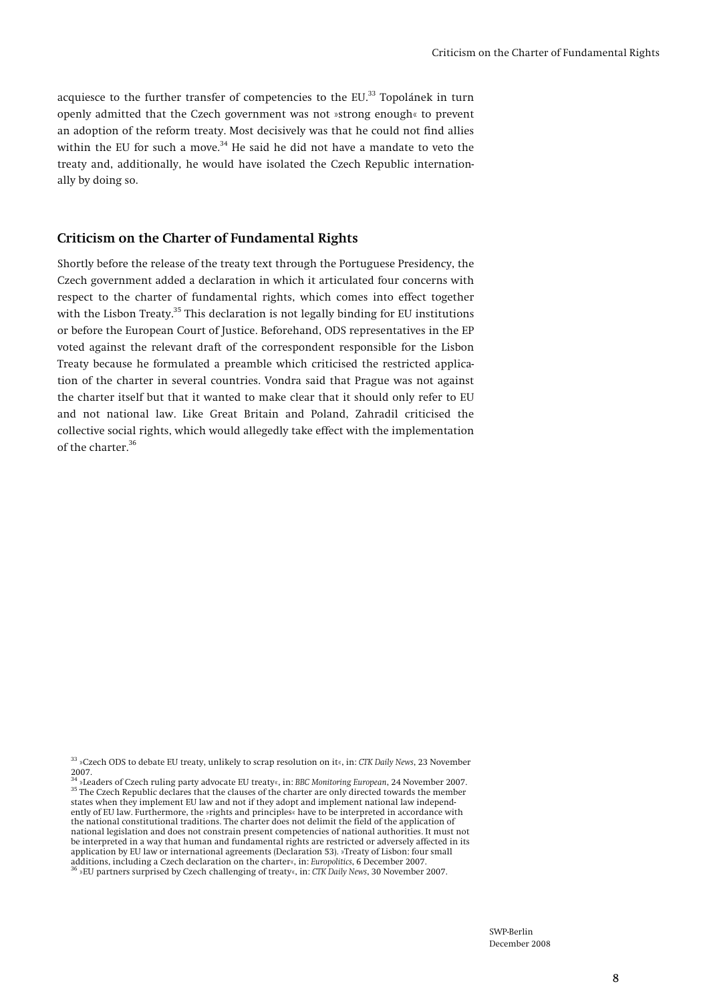acquiesce to the further transfer of competencies to the  $EU^{33}$  Topolánek in turn openly admitted that the Czech government was not »strong enough« to prevent an adoption of the reform treaty. Most decisively was that he could not find allies within the EU for such a move. $34$  He said he did not have a mandate to veto the treaty and, additionally, he would have isolated the Czech Republic internationally by doing so.

#### **Criticism on the Charter of Fundamental Rights**

Shortly before the release of the treaty text through the Portuguese Presidency, the Czech government added a declaration in which it articulated four concerns with respect to the charter of fundamental rights, which comes into effect together with the Lisbon Treaty.<sup>35</sup> This declaration is not legally binding for EU institutions or before the European Court of Justice. Beforehand, ODS representatives in the EP voted against the relevant draft of the correspondent responsible for the Lisbon Treaty because he formulated a preamble which criticised the restricted application of the charter in several countries. Vondra said that Prague was not against the charter itself but that it wanted to make clear that it should only refer to EU and not national law. Like Great Britain and Poland, Zahradil criticised the collective social rights, which would allegedly take effect with the implementation of the charter.36

<sup>33 »</sup>Czech ODS to debate EU treaty, unlikely to scrap resolution on it«, in: *CTK Daily News*, 23 November 2007.<br><sup>34</sup> »Leaders of Czech ruling party advocate EU treaty«, in: BBC Monitoring European, 24 November 2007.

<sup>&</sup>lt;sup>35</sup> The Czech Republic declares that the clauses of the charter are only directed towards the member <sup>35</sup> The Czech Republic declares that the clauses of the charter are only directed towards the member states when they implement EU law and not if they adopt and implement national law independently of EU law. Furthermore, the »rights and principles« have to be interpreted in accordance with the national constitutional traditions. The charter does not delimit the field of the application of national legislation and does not constrain present competencies of national authorities. It must not be interpreted in a way that human and fundamental rights are restricted or adversely affected in its application by EU law or international agreements (Declaration 53). »Treaty of Lisbon: four small additions, including a Czech declaration on the charter«, in: *Europolitics*, 6 December 2007. 36 »EU partners surprised by Czech challenging of treaty«, in: *CTK Daily News*, 30 November 2007.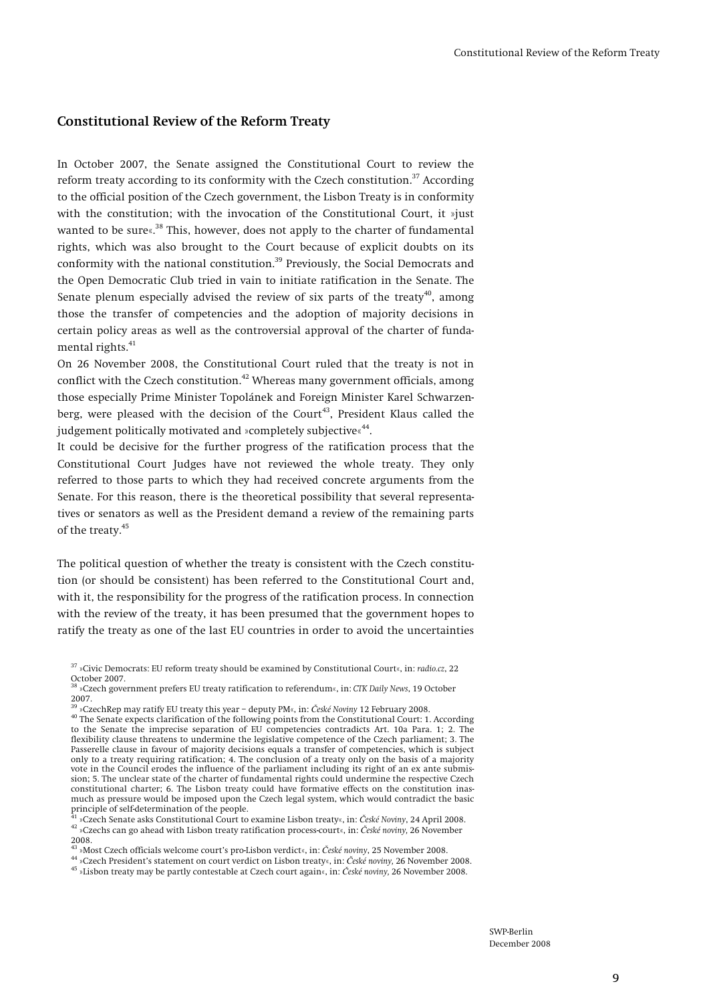#### **Constitutional Review of the Reform Treaty**

In October 2007, the Senate assigned the Constitutional Court to review the reform treaty according to its conformity with the Czech constitution.<sup>37</sup> According to the official position of the Czech government, the Lisbon Treaty is in conformity with the constitution; with the invocation of the Constitutional Court, it »just wanted to be sure«.<sup>38</sup> This, however, does not apply to the charter of fundamental rights, which was also brought to the Court because of explicit doubts on its conformity with the national constitution.<sup>39</sup> Previously, the Social Democrats and the Open Democratic Club tried in vain to initiate ratification in the Senate. The Senate plenum especially advised the review of six parts of the treaty<sup>40</sup>, among those the transfer of competencies and the adoption of majority decisions in certain policy areas as well as the controversial approval of the charter of fundamental rights.<sup>41</sup>

On 26 November 2008, the Constitutional Court ruled that the treaty is not in conflict with the Czech constitution.<sup>42</sup> Whereas many government officials, among those especially Prime Minister Topolánek and Foreign Minister Karel Schwarzenberg, were pleased with the decision of the Court<sup>43</sup>, President Klaus called the judgement politically motivated and »completely subjective«<sup>44</sup>.

It could be decisive for the further progress of the ratification process that the Constitutional Court Judges have not reviewed the whole treaty. They only referred to those parts to which they had received concrete arguments from the Senate. For this reason, there is the theoretical possibility that several representatives or senators as well as the President demand a review of the remaining parts of the treaty.<sup>45</sup>

The political question of whether the treaty is consistent with the Czech constitution (or should be consistent) has been referred to the Constitutional Court and, with it, the responsibility for the progress of the ratification process. In connection with the review of the treaty, it has been presumed that the government hopes to ratify the treaty as one of the last EU countries in order to avoid the uncertainties

<sup>42</sup> »Czechs can go ahead with Lisbon treaty ratification process-court«, in: České noviny, 26 November 2008.

<sup>43</sup> »Most Czech officials welcome court's pro-Lisbon verdict«, in: České noviny, 25 November 2008.<br><sup>44</sup> »Czech President's statement on court verdict on Lisbon treaty«, in: České noviny, 26 November 2008.<br><sup>45</sup> »Lisbon tr

<sup>37 »</sup>Civic Democrats: EU reform treaty should be examined by Constitutional Court«, in: *radio.cz*, 22 October 2007.

<sup>38 »</sup>Czech government prefers EU treaty ratification to referendum«, in: *CTK Daily News*, 19 October 2007.<br><sup>39</sup> »CzechRep may ratify EU treaty this year – deputy PM«. in: *České Noviny* 12 February 2008.

<sup>&</sup>lt;sup>40</sup> The Senate expects clarification of the following points from the Constitutional Court: 1. According to the Senate the imprecise separation of EU competencies contradicts Art. 10a Para. 1; 2. The flexibility clause threatens to undermine the legislative competence of the Czech parliament; 3. The Passerelle clause in favour of majority decisions equals a transfer of competencies, which is subject only to a treaty requiring ratification; 4. The conclusion of a treaty only on the basis of a majority vote in the Council erodes the influence of the parliament including its right of an ex ante submission; 5. The unclear state of the charter of fundamental rights could undermine the respective Czech constitutional charter; 6. The Lisbon treaty could have formative effects on the constitution inasmuch as pressure would be imposed upon the Czech legal system, which would contradict the basic principle of self-determination of the people.<br><sup>41</sup> »Czech Senate asks Constitutional Court to examine Lisbon treaty«, in: *České Noviny*, 24 April 2008.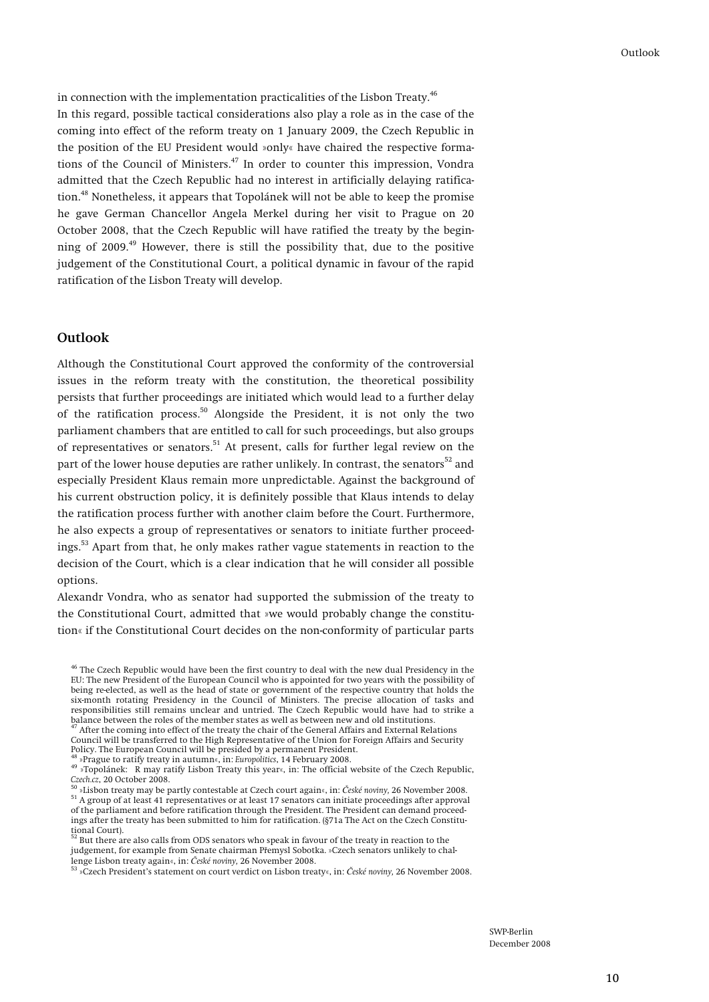in connection with the implementation practicalities of the Lisbon Treaty.<sup>46</sup> In this regard, possible tactical considerations also play a role as in the case of the coming into effect of the reform treaty on 1 January 2009, the Czech Republic in the position of the EU President would »only« have chaired the respective formations of the Council of Ministers.<sup>47</sup> In order to counter this impression, Vondra admitted that the Czech Republic had no interest in artificially delaying ratification.<sup>48</sup> Nonetheless, it appears that Topolánek will not be able to keep the promise he gave German Chancellor Angela Merkel during her visit to Prague on 20 October 2008, that the Czech Republic will have ratified the treaty by the beginning of 2009.<sup>49</sup> However, there is still the possibility that, due to the positive judgement of the Constitutional Court, a political dynamic in favour of the rapid ratification of the Lisbon Treaty will develop.

#### **Outlook**

Although the Constitutional Court approved the conformity of the controversial issues in the reform treaty with the constitution, the theoretical possibility persists that further proceedings are initiated which would lead to a further delay of the ratification process.<sup>50</sup> Alongside the President, it is not only the two parliament chambers that are entitled to call for such proceedings, but also groups of representatives or senators.<sup>51</sup> At present, calls for further legal review on the part of the lower house deputies are rather unlikely. In contrast, the senators<sup>52</sup> and especially President Klaus remain more unpredictable. Against the background of his current obstruction policy, it is definitely possible that Klaus intends to delay the ratification process further with another claim before the Court. Furthermore, he also expects a group of representatives or senators to initiate further proceedings.53 Apart from that, he only makes rather vague statements in reaction to the decision of the Court, which is a clear indication that he will consider all possible options.

Alexandr Vondra, who as senator had supported the submission of the treaty to the Constitutional Court, admitted that »we would probably change the constitution« if the Constitutional Court decides on the non-conformity of particular parts

Council will be transferred to the High Representative of the Union for Foreign Affairs and Security

But there are also calls from ODS senators who speak in favour of the treaty in reaction to the judgement, for example from Senate chairman Přemysl Sobotka. »Czech senators unlikely to chal-

lenge Lisbon treaty again«, in: *České noviny,* 26 November 2008. 53 »Czech President's statement on court verdict on Lisbon treaty«, in: *České noviny,* 26 November 2008.

<sup>&</sup>lt;sup>46</sup> The Czech Republic would have been the first country to deal with the new dual Presidency in the EU: The new President of the European Council who is appointed for two years with the possibility of being re-elected, as well as the head of state or government of the respective country that holds the six-month rotating Presidency in the Council of Ministers. The precise allocation of tasks and responsibilities still remains unclear and untried. The Czech Republic would have had to strike a balance between the roles of the member states as well as between new and old institutions.<br><sup>47</sup> After the coming into effect of the treaty the chair of the General Affairs and External Relations

Policy. The European Council will be presided by a permanent President.<br><sup>48</sup> »Prague to ratify treaty in autumn«, in: *Europolitics*, 14 February 2008.<br><sup>49</sup> »Topolánek: R may ratify Lisbon Treaty this year«, in: The offici

 $^{50}$  »Lisbon treaty may be partly contestable at Czech court again«, in: České noviny, 26 November 2008.<br> $^{51}$  A group of at least 41 representatives or at least 17 senators can initiate proceedings after approval of the parliament and before ratification through the President. The President can demand proceedings after the treaty has been submitted to him for ratification. (§71a The Act on the Czech Constitutional Court).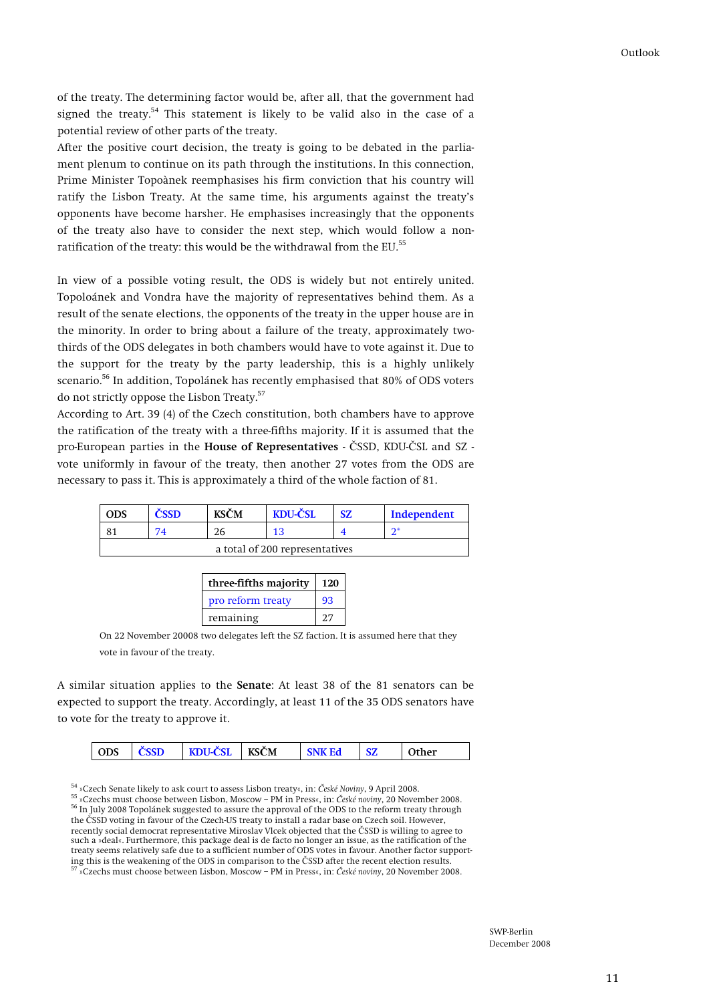of the treaty. The determining factor would be, after all, that the government had signed the treaty.<sup>54</sup> This statement is likely to be valid also in the case of a potential review of other parts of the treaty.

After the positive court decision, the treaty is going to be debated in the parliament plenum to continue on its path through the institutions. In this connection, Prime Minister Topoànek reemphasises his firm conviction that his country will ratify the Lisbon Treaty. At the same time, his arguments against the treaty's opponents have become harsher. He emphasises increasingly that the opponents of the treaty also have to consider the next step, which would follow a nonratification of the treaty: this would be the withdrawal from the EU.<sup>55</sup>

In view of a possible voting result, the ODS is widely but not entirely united. Topoloánek and Vondra have the majority of representatives behind them. As a result of the senate elections, the opponents of the treaty in the upper house are in the minority. In order to bring about a failure of the treaty, approximately twothirds of the ODS delegates in both chambers would have to vote against it. Due to the support for the treaty by the party leadership, this is a highly unlikely scenario.<sup>56</sup> In addition, Topolánek has recently emphasised that 80% of ODS voters do not strictly oppose the Lisbon Treaty.57

According to Art. 39 (4) of the Czech constitution, both chambers have to approve the ratification of the treaty with a three-fifths majority. If it is assumed that the pro-European parties in the **House of Representatives** - ČSSD, KDU-ČSL and SZ vote uniformly in favour of the treaty, then another 27 votes from the ODS are necessary to pass it. This is approximately a third of the whole faction of 81.

| ODS                            |    | <b>KSČM</b> | KDU-ČSL | SZ. | Independent |
|--------------------------------|----|-------------|---------|-----|-------------|
|                                | 74 | 26          | 1 2     |     | n*          |
| a total of 200 representatives |    |             |         |     |             |

| three-fifths majority | 120 |  |
|-----------------------|-----|--|
| pro reform treaty     | 93  |  |
| remaining             |     |  |

On 22 November 20008 two delegates left the SZ faction. It is assumed here that they vote in favour of the treaty.

A similar situation applies to the **Senate**: At least 38 of the 81 senators can be expected to support the treaty. Accordingly, at least 11 of the 35 ODS senators have to vote for the treaty to approve it.

| <b>KDU-CSL</b><br><b>ODS</b><br><b>ČSSD</b><br><b>KSCM</b><br>$\gamma$ ther<br><b>SNK Ed</b><br>SZ |
|----------------------------------------------------------------------------------------------------|
|----------------------------------------------------------------------------------------------------|

<sup>54</sup> »Czech Senate likely to ask court to assess Lisbon treaty«, in: České Noviny, 9 April 2008.<br><sup>55</sup> »Czechs must choose between Lisbon, Moscow – PM in Press«, in: České noviny, 20 November 2008.<br><sup>56</sup> In July 2008 Topolá the ČSSD voting in favour of the Czech-US treaty to install a radar base on Czech soil. However, recently social democrat representative Miroslav Vlcek objected that the ČSSD is willing to agree to such a »deal«. Furthermore, this package deal is de facto no longer an issue, as the ratification of the treaty seems relatively safe due to a sufficient number of ODS votes in favour. Another factor supporting this is the weakening of the ODS in comparison to the <sup>Č</sup>SSD after the recent election results. 57 »Czechs must choose between Lisbon, Moscow – PM in Press«, in: *České noviny*, 20 November 2008.